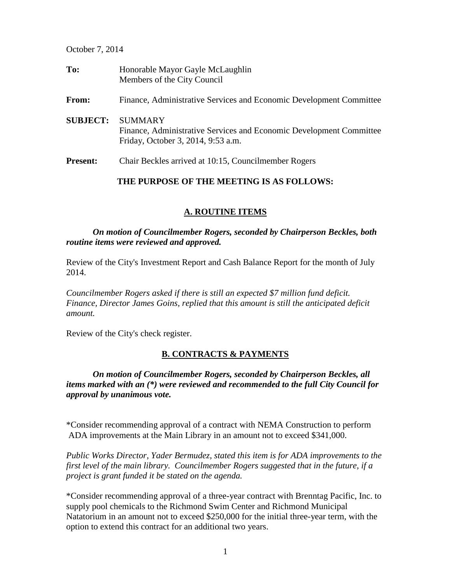October 7, 2014

| To:             | Honorable Mayor Gayle McLaughlin<br>Members of the City Council                                                             |
|-----------------|-----------------------------------------------------------------------------------------------------------------------------|
| From:           | Finance, Administrative Services and Economic Development Committee                                                         |
| <b>SUBJECT:</b> | <b>SUMMARY</b><br>Finance, Administrative Services and Economic Development Committee<br>Friday, October 3, 2014, 9:53 a.m. |
| <b>Present:</b> | Chair Beckles arrived at 10:15, Councilmember Rogers                                                                        |

### **THE PURPOSE OF THE MEETING IS AS FOLLOWS:**

# **A. ROUTINE ITEMS**

*On motion of Councilmember Rogers, seconded by Chairperson Beckles, both routine items were reviewed and approved.* 

Review of the City's Investment Report and Cash Balance Report for the month of July 2014.

*Councilmember Rogers asked if there is still an expected \$7 million fund deficit. Finance, Director James Goins, replied that this amount is still the anticipated deficit amount.* 

Review of the City's check register.

# **B. CONTRACTS & PAYMENTS**

*On motion of Councilmember Rogers, seconded by Chairperson Beckles, all items marked with an (\*) were reviewed and recommended to the full City Council for approval by unanimous vote.* 

\*Consider recommending approval of a contract with NEMA Construction to perform ADA improvements at the Main Library in an amount not to exceed \$341,000.

*Public Works Director, Yader Bermudez, stated this item is for ADA improvements to the first level of the main library. Councilmember Rogers suggested that in the future, if a project is grant funded it be stated on the agenda.* 

\*Consider recommending approval of a three-year contract with Brenntag Pacific, Inc. to supply pool chemicals to the Richmond Swim Center and Richmond Municipal Natatorium in an amount not to exceed \$250,000 for the initial three-year term, with the option to extend this contract for an additional two years.